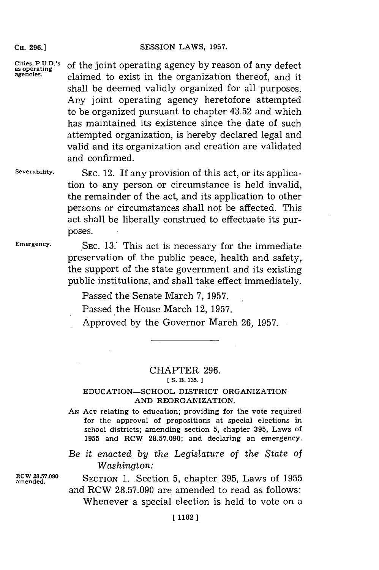**CH. 296.]**

**Cities, P.U.D.'s as operating agencies.** of the joint operating agency **by** reason of any defect claimed to exist in the organization thereof, and it shall be deemed validly organized for all purposes. Any joint operating agency heretofore attempted to be organized pursuant to chapter 43.52 and which has maintained its existence since the date of such attempted organization, is hereby declared legal and valid and its organization and creation are validated and confirmed.

**Severability.**

**SEC.** 12. If any provision of this act, or its application to any person or circumstance is held invalid, the remainder of the act, and its application to other persons or circumstances shall not be affected. This act shall be liberally construed to effectuate its purposes.

**Emergency.**

SEC. 13. This act is necessary for the immediate preservation of the public peace, health and safety, the support of the state government and its existing public institutions, and shall take effect immediately.

Passed the Senate March **7, 1957.**

Passed the House March 12, **1957.**

Approved **by** the Governor March **26, 1957.**

## CHAPTER **296.**

**[ S. B. 135.**

## **EDUCATION-SCHOOL** DISTRICT ORGANIZATION **AND** REORGANIZATION.

**AN ACT** relating to education; providing for the vote required for the approval of propositions at special elections in school districts; amending section **5,** chapter **395,** Laws of **1955** and RCW **28.57.090;** and declaring an emergency.

*Be it enacted by the Legislature of the State of Washington:*

**amended.**

**RCW 28.57.090** SECTION **1.** Section **5,** chapter **395,** Laws of **1955** and RCW **28.57.090** are amended to read as follows: Whenever a special election is held to vote on a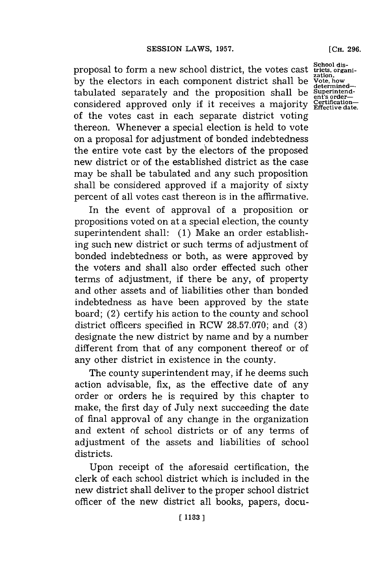**School dis-** proposal to form a new school district, the votes cast **tricts, organiby** the electors in each component district shall be **Vote, how** determined-<br>tabulated separately and the proposition shall be superintendconsidered approved only if it receives a majority Certificationof the votes cast in each separate district voting thereon. Whenever a special election is held to vote on a proposal for adjustment of bonded indebtedness the entire vote cast **by** the electors of the proposed new district or of the established district as the case may be shall be tabulated and any such proposition shall be considered approved if a majority of sixty percent of all votes cast thereon is in the affirmative.

In the event of approval of a proposition or propositions voted on at a special election, the county superintendent shall: **(1)** Make an order establishing such new district or such terms of adjustment of bonded indebtedness or both, as were approved **by** the voters and shall also order effected such other terms of adjustment, if there be any, of property and other assets and of liabilities other than bonded indebtedness as have been approved **by** the state board; (2) certify his action to the county and school district officers specified in RCW **28.57.070;** and **(3)** designate the new district **by** name and **by** a number different from that of any component thereof or of any other district in existence in the county.

The county superintendent may, if he deems such action advisable, fix, as the effective date of any order or orders he is required **by** this chapter to make, the first day of July next succeeding the date of final approval of any change in the organization and extent of school districts or of any terms of adjustment of the assets and liabilities of school districts.

Upon receipt of the aforesaid certification, the clerk of each school district which is included in the new district shall deliver to the proper school district officer of the new district all books, papers, docu-